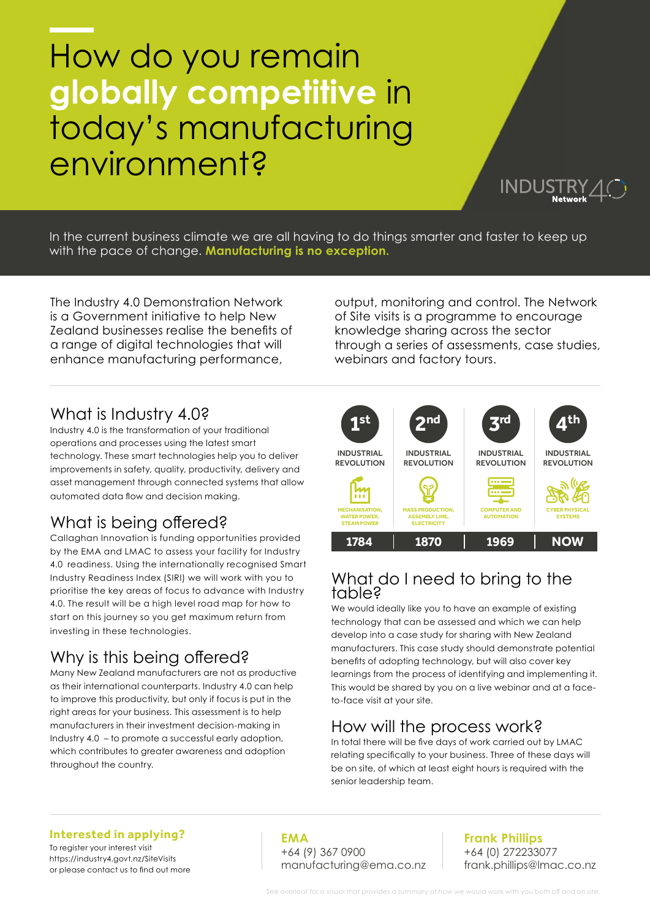# How do you remain **globally competitive** in today's manufacturing environment?

In the current business climate we are all having to do things smarter and faster to keep up with the pace of change. **Manufacturing is no exception.**

The Industry 4.0 Demonstration Network is a Government initiative to help New Zealand businesses realise the benefits of a range of digital technologies that will enhance manufacturing performance,

output, monitoring and control. The Network of Site visits is a programme to encourage knowledge sharing across the sector through a series of assessments, case studies, webinars and factory tours.

INDUSTRY

## What is Industry 4.0?

Industry 4.0 is the transformation of your traditional operations and processes using the latest smart technology. These smart technologies help you to deliver improvements in safety, quality, productivity, delivery and asset management through connected systems that allow automated data flow and decision making.

# What is being offered?

Callaghan Innovation is funding opportunities provided by the EMA and LMAC to assess your facility for Industry 4.0 readiness. Using the internationally recognised Smart Industry Readiness Index (SIRI) we will work with you to prioritise the key areas of focus to advance with Industry 4.0. The result will be a high level road map for how to start on this journey so you get maximum return from investing in these technologies.

# Why is this being offered?

Many New Zealand manufacturers are not as productive as their international counterparts. Industry 4.0 can help to improve this productivity, but only if focus is put in the right areas for your business. This assessment is to help manufacturers in their investment decision-making in Industry 4.0 – to promote a successful early adoption, which contributes to greater awareness and adoption throughout the country.



### What do I need to bring to the table?

We would ideally like you to have an example of existing technology that can be assessed and which we can help develop into a case study for sharing with New Zealand manufacturers. This case study should demonstrate potential benefits of adopting technology, but will also cover key learnings from the process of identifying and implementing it. This would be shared by you on a live webinar and at a faceto-face visit at your site.

## How will the process work?

In total there will be five days of work carried out by LMAC relating specifically to your business. Three of these days will be on site, of which at least eight hours is required with the senior leadership team.

#### **Interested in applying?**

To register your interest visit <https://industry4.govt.nz/SiteVisits> or please contact us to find out more

**EMA** +64 (9) 367 0900 [manufacturing@ema.co.nz](mailto:manufacturing%40ema.co.nz?subject=)

#### **Frank Phillips** +64 (0) 272233077 [frank.phillips@lmac.co.nz](mailto:frank.phillips%40lmac.co.nz?subject=)

eaf for a visual that provides a summary of how we would work with you both off and on site.